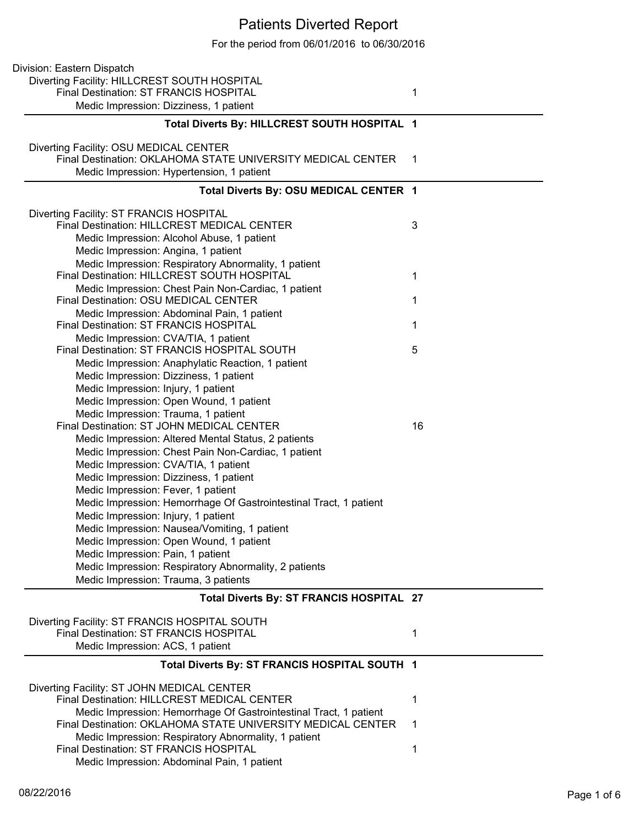## Patients Diverted Report

For the period from 06/01/2016 to 06/30/2016

| Division: Eastern Dispatch                                                                                                       |     |
|----------------------------------------------------------------------------------------------------------------------------------|-----|
| Diverting Facility: HILLCREST SOUTH HOSPITAL                                                                                     |     |
| Final Destination: ST FRANCIS HOSPITAL                                                                                           | 1   |
| Medic Impression: Dizziness, 1 patient                                                                                           |     |
| Total Diverts By: HILLCREST SOUTH HOSPITAL 1                                                                                     |     |
| Diverting Facility: OSU MEDICAL CENTER                                                                                           |     |
| Final Destination: OKLAHOMA STATE UNIVERSITY MEDICAL CENTER                                                                      | - 1 |
| Medic Impression: Hypertension, 1 patient                                                                                        |     |
|                                                                                                                                  |     |
| Total Diverts By: OSU MEDICAL CENTER 1                                                                                           |     |
| Diverting Facility: ST FRANCIS HOSPITAL                                                                                          |     |
| Final Destination: HILLCREST MEDICAL CENTER                                                                                      | 3   |
| Medic Impression: Alcohol Abuse, 1 patient                                                                                       |     |
| Medic Impression: Angina, 1 patient                                                                                              |     |
| Medic Impression: Respiratory Abnormality, 1 patient                                                                             |     |
| Final Destination: HILLCREST SOUTH HOSPITAL                                                                                      | 1   |
| Medic Impression: Chest Pain Non-Cardiac, 1 patient                                                                              |     |
| Final Destination: OSU MEDICAL CENTER                                                                                            | 1   |
| Medic Impression: Abdominal Pain, 1 patient                                                                                      |     |
| Final Destination: ST FRANCIS HOSPITAL                                                                                           | 1   |
| Medic Impression: CVA/TIA, 1 patient                                                                                             |     |
| Final Destination: ST FRANCIS HOSPITAL SOUTH                                                                                     | 5   |
| Medic Impression: Anaphylatic Reaction, 1 patient                                                                                |     |
| Medic Impression: Dizziness, 1 patient                                                                                           |     |
| Medic Impression: Injury, 1 patient                                                                                              |     |
| Medic Impression: Open Wound, 1 patient                                                                                          |     |
| Medic Impression: Trauma, 1 patient                                                                                              |     |
| Final Destination: ST JOHN MEDICAL CENTER                                                                                        | 16  |
| Medic Impression: Altered Mental Status, 2 patients                                                                              |     |
| Medic Impression: Chest Pain Non-Cardiac, 1 patient                                                                              |     |
|                                                                                                                                  |     |
| Medic Impression: CVA/TIA, 1 patient                                                                                             |     |
| Medic Impression: Dizziness, 1 patient                                                                                           |     |
| Medic Impression: Fever, 1 patient                                                                                               |     |
| Medic Impression: Hemorrhage Of Gastrointestinal Tract, 1 patient                                                                |     |
| Medic Impression: Injury, 1 patient                                                                                              |     |
| Medic Impression: Nausea/Vomiting, 1 patient                                                                                     |     |
| Medic Impression: Open Wound, 1 patient                                                                                          |     |
| Medic Impression: Pain, 1 patient                                                                                                |     |
| Medic Impression: Respiratory Abnormality, 2 patients                                                                            |     |
| Medic Impression: Trauma, 3 patients                                                                                             |     |
| Total Diverts By: ST FRANCIS HOSPITAL 27                                                                                         |     |
| Diverting Facility: ST FRANCIS HOSPITAL SOUTH                                                                                    |     |
| Final Destination: ST FRANCIS HOSPITAL                                                                                           | 1   |
| Medic Impression: ACS, 1 patient                                                                                                 |     |
| Total Diverts By: ST FRANCIS HOSPITAL SOUTH 1                                                                                    |     |
|                                                                                                                                  |     |
| Diverting Facility: ST JOHN MEDICAL CENTER<br>Final Destination: HILLCREST MEDICAL CENTER                                        | 1   |
|                                                                                                                                  |     |
| Medic Impression: Hemorrhage Of Gastrointestinal Tract, 1 patient<br>Final Destination: OKLAHOMA STATE UNIVERSITY MEDICAL CENTER | 1   |
|                                                                                                                                  |     |
| Medic Impression: Respiratory Abnormality, 1 patient<br>Final Destination: ST FRANCIS HOSPITAL                                   | 1   |
| Medic Impression: Abdominal Pain, 1 patient                                                                                      |     |
|                                                                                                                                  |     |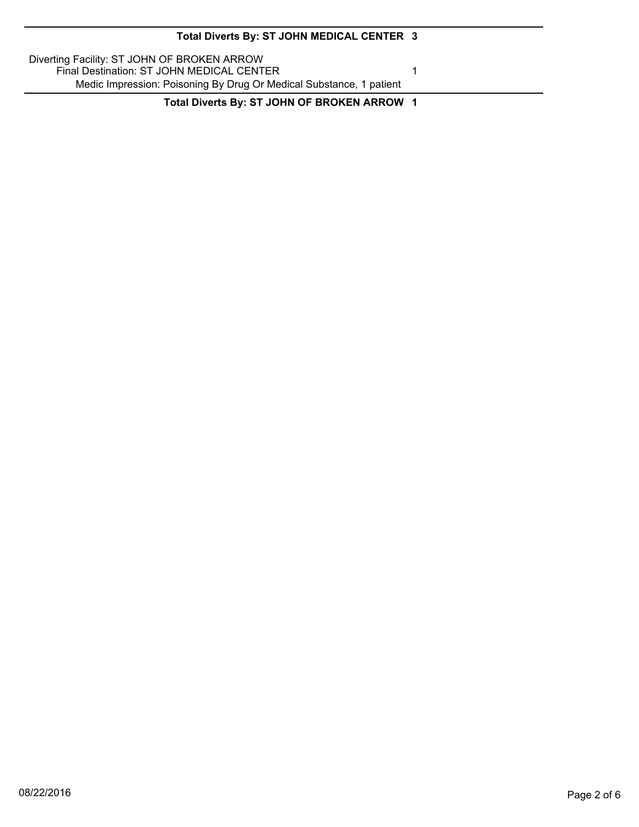| Total Diverts By: ST JOHN MEDICAL CENTER 3                                                                                                                      |  |
|-----------------------------------------------------------------------------------------------------------------------------------------------------------------|--|
| Diverting Facility: ST JOHN OF BROKEN ARROW<br>Final Destination: ST JOHN MEDICAL CENTER<br>Medic Impression: Poisoning By Drug Or Medical Substance, 1 patient |  |
| Total Diverts By: ST JOHN OF BROKEN ARROW 1                                                                                                                     |  |

▃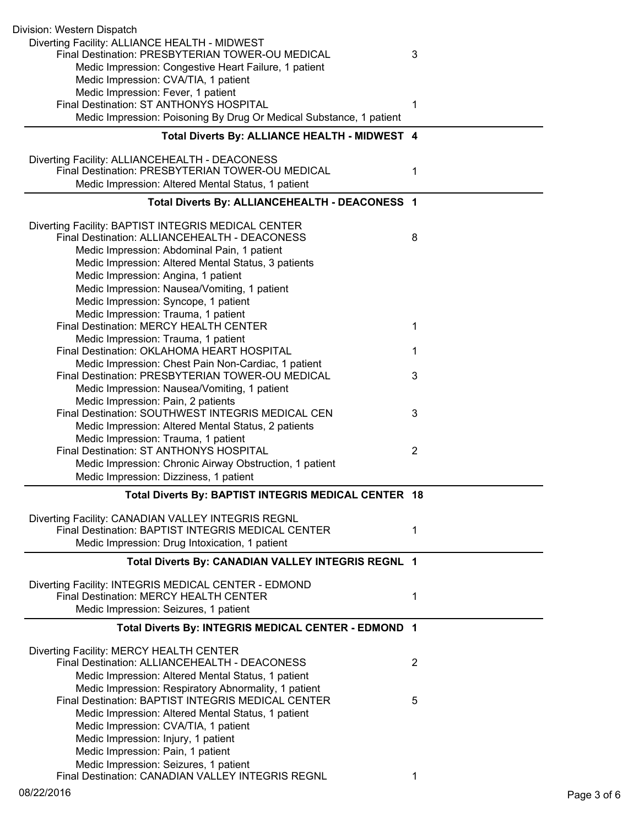| Division: Western Dispatch                                                                     |                |
|------------------------------------------------------------------------------------------------|----------------|
| Diverting Facility: ALLIANCE HEALTH - MIDWEST                                                  |                |
| Final Destination: PRESBYTERIAN TOWER-OU MEDICAL                                               | 3              |
| Medic Impression: Congestive Heart Failure, 1 patient                                          |                |
| Medic Impression: CVA/TIA, 1 patient                                                           |                |
| Medic Impression: Fever, 1 patient                                                             |                |
| Final Destination: ST ANTHONYS HOSPITAL                                                        | 1              |
| Medic Impression: Poisoning By Drug Or Medical Substance, 1 patient                            |                |
| Total Diverts By: ALLIANCE HEALTH - MIDWEST 4                                                  |                |
| Diverting Facility: ALLIANCEHEALTH - DEACONESS                                                 |                |
| Final Destination: PRESBYTERIAN TOWER-OU MEDICAL                                               | 1              |
| Medic Impression: Altered Mental Status, 1 patient                                             |                |
| Total Diverts By: ALLIANCEHEALTH - DEACONESS 1                                                 |                |
| Diverting Facility: BAPTIST INTEGRIS MEDICAL CENTER                                            |                |
| Final Destination: ALLIANCEHEALTH - DEACONESS                                                  | 8              |
| Medic Impression: Abdominal Pain, 1 patient                                                    |                |
| Medic Impression: Altered Mental Status, 3 patients                                            |                |
| Medic Impression: Angina, 1 patient                                                            |                |
| Medic Impression: Nausea/Vomiting, 1 patient                                                   |                |
| Medic Impression: Syncope, 1 patient                                                           |                |
| Medic Impression: Trauma, 1 patient                                                            |                |
| Final Destination: MERCY HEALTH CENTER                                                         | 1              |
| Medic Impression: Trauma, 1 patient                                                            |                |
| Final Destination: OKLAHOMA HEART HOSPITAL                                                     | 1              |
| Medic Impression: Chest Pain Non-Cardiac, 1 patient                                            |                |
| Final Destination: PRESBYTERIAN TOWER-OU MEDICAL                                               | 3              |
| Medic Impression: Nausea/Vomiting, 1 patient                                                   |                |
| Medic Impression: Pain, 2 patients                                                             |                |
| Final Destination: SOUTHWEST INTEGRIS MEDICAL CEN                                              | 3              |
| Medic Impression: Altered Mental Status, 2 patients                                            |                |
| Medic Impression: Trauma, 1 patient                                                            |                |
| Final Destination: ST ANTHONYS HOSPITAL                                                        | $\overline{2}$ |
| Medic Impression: Chronic Airway Obstruction, 1 patient                                        |                |
| Medic Impression: Dizziness, 1 patient                                                         |                |
| Total Diverts By: BAPTIST INTEGRIS MEDICAL CENTER 18                                           |                |
| Diverting Facility: CANADIAN VALLEY INTEGRIS REGNL                                             |                |
| Final Destination: BAPTIST INTEGRIS MEDICAL CENTER                                             | 1              |
| Medic Impression: Drug Intoxication, 1 patient                                                 |                |
| Total Diverts By: CANADIAN VALLEY INTEGRIS REGNL 1                                             |                |
|                                                                                                |                |
| Diverting Facility: INTEGRIS MEDICAL CENTER - EDMOND<br>Final Destination: MERCY HEALTH CENTER | 1              |
| Medic Impression: Seizures, 1 patient                                                          |                |
| Total Diverts By: INTEGRIS MEDICAL CENTER - EDMOND 1                                           |                |
|                                                                                                |                |
| Diverting Facility: MERCY HEALTH CENTER                                                        |                |
| Final Destination: ALLIANCEHEALTH - DEACONESS                                                  | $\overline{2}$ |
| Medic Impression: Altered Mental Status, 1 patient                                             |                |
| Medic Impression: Respiratory Abnormality, 1 patient                                           |                |
| Final Destination: BAPTIST INTEGRIS MEDICAL CENTER                                             | 5              |
| Medic Impression: Altered Mental Status, 1 patient                                             |                |
| Medic Impression: CVA/TIA, 1 patient                                                           |                |
| Medic Impression: Injury, 1 patient                                                            |                |
| Medic Impression: Pain, 1 patient                                                              |                |
| Medic Impression: Seizures, 1 patient                                                          |                |
| Final Destination: CANADIAN VALLEY INTEGRIS REGNL                                              |                |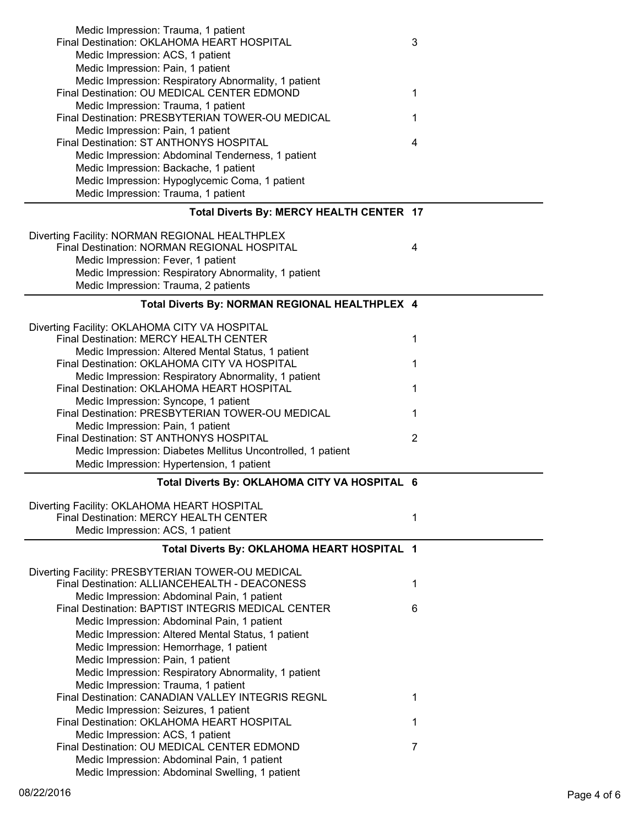| Medic Impression: Trauma, 1 patient<br>Final Destination: OKLAHOMA HEART HOSPITAL<br>Medic Impression: ACS, 1 patient<br>Medic Impression: Pain, 1 patient | 3 |
|------------------------------------------------------------------------------------------------------------------------------------------------------------|---|
| Medic Impression: Respiratory Abnormality, 1 patient                                                                                                       |   |
| Final Destination: OU MEDICAL CENTER EDMOND                                                                                                                | 1 |
| Medic Impression: Trauma, 1 patient                                                                                                                        |   |
| Final Destination: PRESBYTERIAN TOWER-OU MEDICAL                                                                                                           | 1 |
| Medic Impression: Pain, 1 patient<br>Final Destination: ST ANTHONYS HOSPITAL                                                                               |   |
| Medic Impression: Abdominal Tenderness, 1 patient                                                                                                          | 4 |
| Medic Impression: Backache, 1 patient                                                                                                                      |   |
| Medic Impression: Hypoglycemic Coma, 1 patient                                                                                                             |   |
| Medic Impression: Trauma, 1 patient                                                                                                                        |   |
| Total Diverts By: MERCY HEALTH CENTER 17                                                                                                                   |   |
| Diverting Facility: NORMAN REGIONAL HEALTHPLEX                                                                                                             |   |
| Final Destination: NORMAN REGIONAL HOSPITAL                                                                                                                | 4 |
| Medic Impression: Fever, 1 patient                                                                                                                         |   |
| Medic Impression: Respiratory Abnormality, 1 patient                                                                                                       |   |
| Medic Impression: Trauma, 2 patients                                                                                                                       |   |
| Total Diverts By: NORMAN REGIONAL HEALTHPLEX 4                                                                                                             |   |
| Diverting Facility: OKLAHOMA CITY VA HOSPITAL                                                                                                              |   |
| Final Destination: MERCY HEALTH CENTER                                                                                                                     | 1 |
| Medic Impression: Altered Mental Status, 1 patient                                                                                                         |   |
| Final Destination: OKLAHOMA CITY VA HOSPITAL                                                                                                               | 1 |
| Medic Impression: Respiratory Abnormality, 1 patient                                                                                                       |   |
| Final Destination: OKLAHOMA HEART HOSPITAL                                                                                                                 | 1 |
| Medic Impression: Syncope, 1 patient<br>Final Destination: PRESBYTERIAN TOWER-OU MEDICAL                                                                   | 1 |
| Medic Impression: Pain, 1 patient                                                                                                                          |   |
| Final Destination: ST ANTHONYS HOSPITAL                                                                                                                    | 2 |
| Medic Impression: Diabetes Mellitus Uncontrolled, 1 patient                                                                                                |   |
| Medic Impression: Hypertension, 1 patient                                                                                                                  |   |
| Total Diverts By: OKLAHOMA CITY VA HOSPITAL 6                                                                                                              |   |
| Diverting Facility: OKLAHOMA HEART HOSPITAL                                                                                                                |   |
| Final Destination: MERCY HEALTH CENTER                                                                                                                     | 1 |
| Medic Impression: ACS, 1 patient                                                                                                                           |   |
| Total Diverts By: OKLAHOMA HEART HOSPITAL 1                                                                                                                |   |
| Diverting Facility: PRESBYTERIAN TOWER-OU MEDICAL                                                                                                          |   |
| Final Destination: ALLIANCEHEALTH - DEACONESS                                                                                                              | 1 |
| Medic Impression: Abdominal Pain, 1 patient                                                                                                                |   |
| Final Destination: BAPTIST INTEGRIS MEDICAL CENTER                                                                                                         | 6 |
| Medic Impression: Abdominal Pain, 1 patient                                                                                                                |   |
| Medic Impression: Altered Mental Status, 1 patient                                                                                                         |   |
| Medic Impression: Hemorrhage, 1 patient                                                                                                                    |   |
| Medic Impression: Pain, 1 patient                                                                                                                          |   |
| Medic Impression: Respiratory Abnormality, 1 patient                                                                                                       |   |
| Medic Impression: Trauma, 1 patient<br>Final Destination: CANADIAN VALLEY INTEGRIS REGNL                                                                   | 1 |
| Medic Impression: Seizures, 1 patient                                                                                                                      |   |
| Final Destination: OKLAHOMA HEART HOSPITAL                                                                                                                 | 1 |
| Medic Impression: ACS, 1 patient                                                                                                                           |   |
| Final Destination: OU MEDICAL CENTER EDMOND                                                                                                                |   |
|                                                                                                                                                            | 7 |
| Medic Impression: Abdominal Pain, 1 patient<br>Medic Impression: Abdominal Swelling, 1 patient                                                             |   |